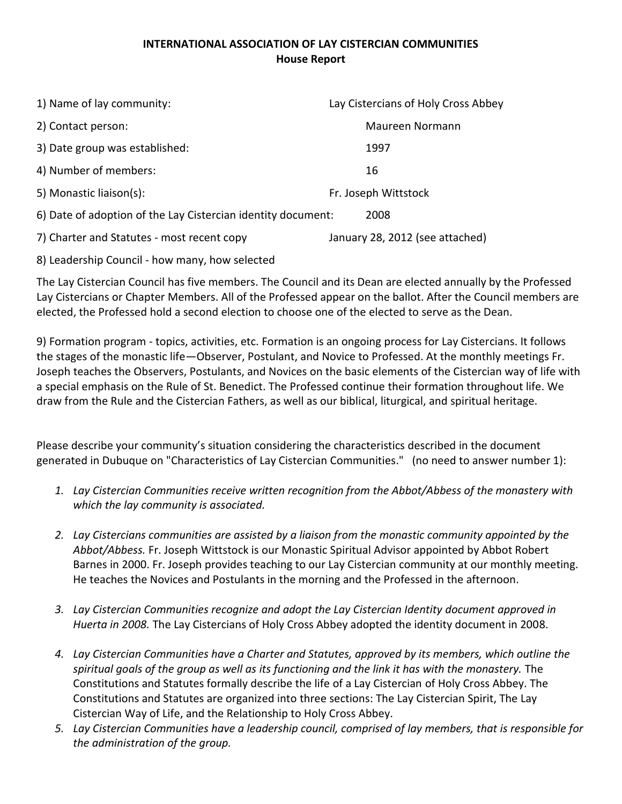## **INTERNATIONAL ASSOCIATION OF LAY CISTERCIAN COMMUNITIES House Report**

| 1) Name of lay community:                                    | Lay Cistercians of Holy Cross Abbey |
|--------------------------------------------------------------|-------------------------------------|
| 2) Contact person:                                           | Maureen Normann                     |
| 3) Date group was established:                               | 1997                                |
| 4) Number of members:                                        | 16                                  |
| 5) Monastic liaison(s):                                      | Fr. Joseph Wittstock                |
| 6) Date of adoption of the Lay Cistercian identity document: | 2008                                |
| 7) Charter and Statutes - most recent copy                   | January 28, 2012 (see attached)     |
|                                                              |                                     |

8) Leadership Council - how many, how selected

The Lay Cistercian Council has five members. The Council and its Dean are elected annually by the Professed Lay Cistercians or Chapter Members. All of the Professed appear on the ballot. After the Council members are elected, the Professed hold a second election to choose one of the elected to serve as the Dean.

9) Formation program - topics, activities, etc. Formation is an ongoing process for Lay Cistercians. It follows the stages of the monastic life—Observer, Postulant, and Novice to Professed. At the monthly meetings Fr. Joseph teaches the Observers, Postulants, and Novices on the basic elements of the Cistercian way of life with a special emphasis on the Rule of St. Benedict. The Professed continue their formation throughout life. We draw from the Rule and the Cistercian Fathers, as well as our biblical, liturgical, and spiritual heritage.

Please describe your community's situation considering the characteristics described in the document generated in Dubuque on "Characteristics of Lay Cistercian Communities." (no need to answer number 1):

- *1. Lay Cistercian Communities receive written recognition from the Abbot/Abbess of the monastery with which the lay community is associated.*
- *2. Lay Cistercians communities are assisted by a liaison from the monastic community appointed by the Abbot/Abbess.* Fr. Joseph Wittstock is our Monastic Spiritual Advisor appointed by Abbot Robert Barnes in 2000. Fr. Joseph provides teaching to our Lay Cistercian community at our monthly meeting. He teaches the Novices and Postulants in the morning and the Professed in the afternoon.
- *3. Lay Cistercian Communities recognize and adopt the Lay Cistercian Identity document approved in Huerta in 2008.* The Lay Cistercians of Holy Cross Abbey adopted the identity document in 2008.
- *4. Lay Cistercian Communities have a Charter and Statutes, approved by its members, which outline the spiritual goals of the group as well as its functioning and the link it has with the monastery.* The Constitutions and Statutes formally describe the life of a Lay Cistercian of Holy Cross Abbey. The Constitutions and Statutes are organized into three sections: The Lay Cistercian Spirit, The Lay Cistercian Way of Life, and the Relationship to Holy Cross Abbey.
- *5. Lay Cistercian Communities have a leadership council, comprised of lay members, that is responsible for the administration of the group.*